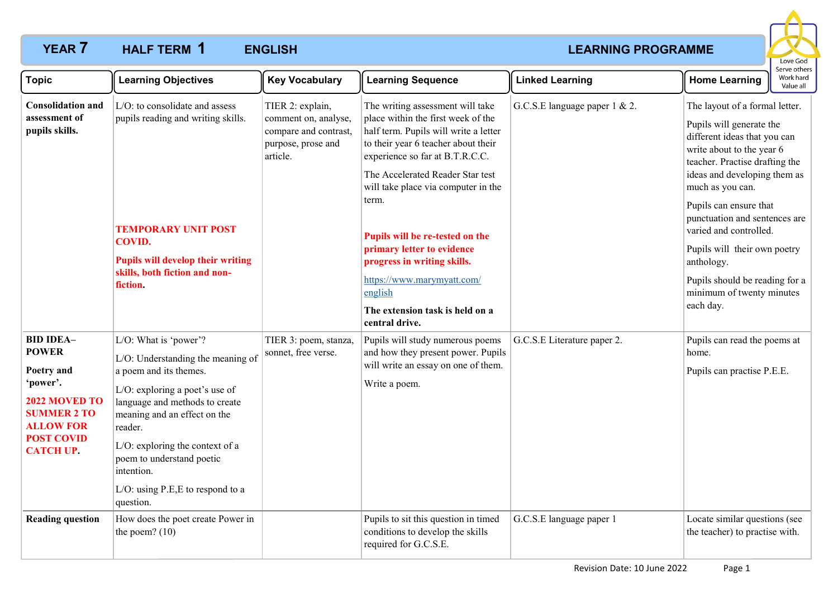# **YEAR 7 HALF TERM 1 ENGLISH CONSUMIST CONSUMING PROGRAMME HALF TERM ENGLISH 1**



| <b>Topic</b>                                                                                                                                                   | <b>Learning Objectives</b>                                                                                                                                                                                                                                                                                                          | <b>Key Vocabulary</b>                                                                               | <b>Learning Sequence</b>                                                                                                                                                                                                                                                                                                                                                                                                                                                    | <b>Linked Learning</b>        | : וסנווכו<br>Work hard<br><b>Home Learning</b><br>Value all                                                                                                                                                                                                                                                                                                                                                                  |  |
|----------------------------------------------------------------------------------------------------------------------------------------------------------------|-------------------------------------------------------------------------------------------------------------------------------------------------------------------------------------------------------------------------------------------------------------------------------------------------------------------------------------|-----------------------------------------------------------------------------------------------------|-----------------------------------------------------------------------------------------------------------------------------------------------------------------------------------------------------------------------------------------------------------------------------------------------------------------------------------------------------------------------------------------------------------------------------------------------------------------------------|-------------------------------|------------------------------------------------------------------------------------------------------------------------------------------------------------------------------------------------------------------------------------------------------------------------------------------------------------------------------------------------------------------------------------------------------------------------------|--|
| <b>Consolidation and</b><br>assessment of<br>pupils skills.                                                                                                    | L/O: to consolidate and assess<br>pupils reading and writing skills.<br><b>TEMPORARY UNIT POST</b><br><b>COVID.</b><br><b>Pupils will develop their writing</b><br>skills, both fiction and non-<br>fiction.                                                                                                                        | TIER 2: explain,<br>comment on, analyse,<br>compare and contrast,<br>purpose, prose and<br>article. | The writing assessment will take<br>place within the first week of the<br>half term. Pupils will write a letter<br>to their year 6 teacher about their<br>experience so far at B.T.R.C.C.<br>The Accelerated Reader Star test<br>will take place via computer in the<br>term.<br>Pupils will be re-tested on the<br>primary letter to evidence<br>progress in writing skills.<br>https://www.marymyatt.com/<br>english<br>The extension task is held on a<br>central drive. | G.C.S.E language paper 1 & 2. | The layout of a formal letter.<br>Pupils will generate the<br>different ideas that you can<br>write about to the year 6<br>teacher. Practise drafting the<br>ideas and developing them as<br>much as you can.<br>Pupils can ensure that<br>punctuation and sentences are<br>varied and controlled.<br>Pupils will their own poetry<br>anthology.<br>Pupils should be reading for a<br>minimum of twenty minutes<br>each day. |  |
| <b>BID IDEA-</b><br><b>POWER</b><br>Poetry and<br>'power'.<br>2022 MOVED TO<br><b>SUMMER 2 TO</b><br><b>ALLOW FOR</b><br><b>POST COVID</b><br><b>CATCH UP.</b> | L/O: What is 'power'?<br>L/O: Understanding the meaning of<br>a poem and its themes.<br>L/O: exploring a poet's use of<br>language and methods to create<br>meaning and an effect on the<br>reader.<br>L/O: exploring the context of a<br>poem to understand poetic<br>intention.<br>L/O: using P.E, E to respond to a<br>question. | TIER 3: poem, stanza,<br>sonnet, free verse.                                                        | Pupils will study numerous poems<br>and how they present power. Pupils<br>will write an essay on one of them.<br>Write a poem.                                                                                                                                                                                                                                                                                                                                              | G.C.S.E Literature paper 2.   | Pupils can read the poems at<br>home.<br>Pupils can practise P.E.E.                                                                                                                                                                                                                                                                                                                                                          |  |
| <b>Reading question</b>                                                                                                                                        | How does the poet create Power in<br>the poem? $(10)$                                                                                                                                                                                                                                                                               |                                                                                                     | Pupils to sit this question in timed<br>conditions to develop the skills<br>required for G.C.S.E.                                                                                                                                                                                                                                                                                                                                                                           | G.C.S.E language paper 1      | Locate similar questions (see<br>the teacher) to practise with.                                                                                                                                                                                                                                                                                                                                                              |  |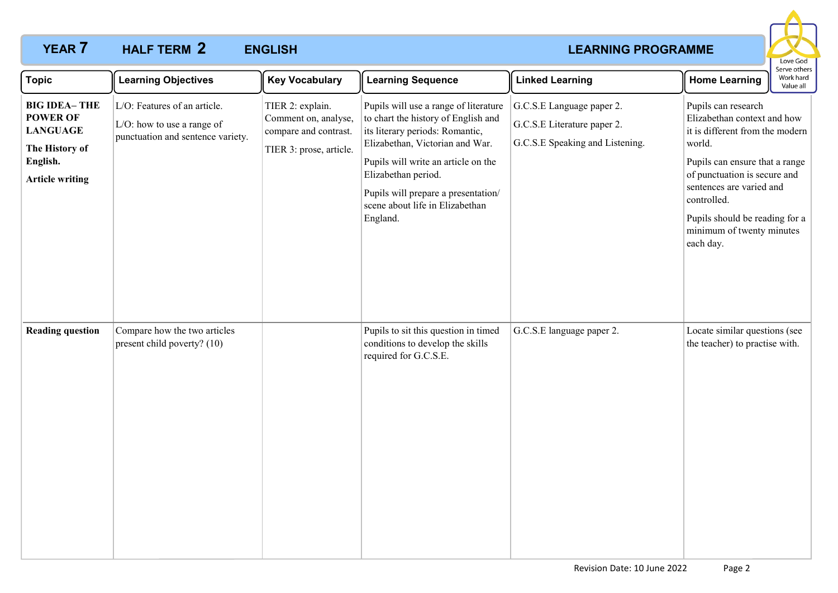# **YEAR 7 HALF TERM 2 ENGLISH CONSUMIST CONSUMING PROGRAMME HALF TERM ENGLISH 2**



| <b>Topic</b>                                                                                                      | <b>Learning Objectives</b>                                                                      | <b>Key Vocabulary</b>                                                                        | <b>Learning Sequence</b>                                                                                                                                                                                                                                                                               | <b>Linked Learning</b>                                                                      | Serve others<br>Work hard<br><b>Home Learning</b><br>Value all                                                                                                                                                                                                                           |
|-------------------------------------------------------------------------------------------------------------------|-------------------------------------------------------------------------------------------------|----------------------------------------------------------------------------------------------|--------------------------------------------------------------------------------------------------------------------------------------------------------------------------------------------------------------------------------------------------------------------------------------------------------|---------------------------------------------------------------------------------------------|------------------------------------------------------------------------------------------------------------------------------------------------------------------------------------------------------------------------------------------------------------------------------------------|
| <b>BIG IDEA-THE</b><br><b>POWER OF</b><br><b>LANGUAGE</b><br>The History of<br>English.<br><b>Article writing</b> | L/O: Features of an article.<br>L/O: how to use a range of<br>punctuation and sentence variety. | TIER 2: explain.<br>Comment on, analyse,<br>compare and contrast.<br>TIER 3: prose, article. | Pupils will use a range of literature<br>to chart the history of English and<br>its literary periods: Romantic,<br>Elizabethan, Victorian and War.<br>Pupils will write an article on the<br>Elizabethan period.<br>Pupils will prepare a presentation/<br>scene about life in Elizabethan<br>England. | G.C.S.E Language paper 2.<br>G.C.S.E Literature paper 2.<br>G.C.S.E Speaking and Listening. | Pupils can research<br>Elizabethan context and how<br>it is different from the modern<br>world.<br>Pupils can ensure that a range<br>of punctuation is secure and<br>sentences are varied and<br>controlled.<br>Pupils should be reading for a<br>minimum of twenty minutes<br>each day. |
| <b>Reading question</b>                                                                                           | Compare how the two articles<br>present child poverty? (10)                                     |                                                                                              | Pupils to sit this question in timed<br>conditions to develop the skills<br>required for G.C.S.E.                                                                                                                                                                                                      | G.C.S.E language paper 2.                                                                   | Locate similar questions (see<br>the teacher) to practise with.                                                                                                                                                                                                                          |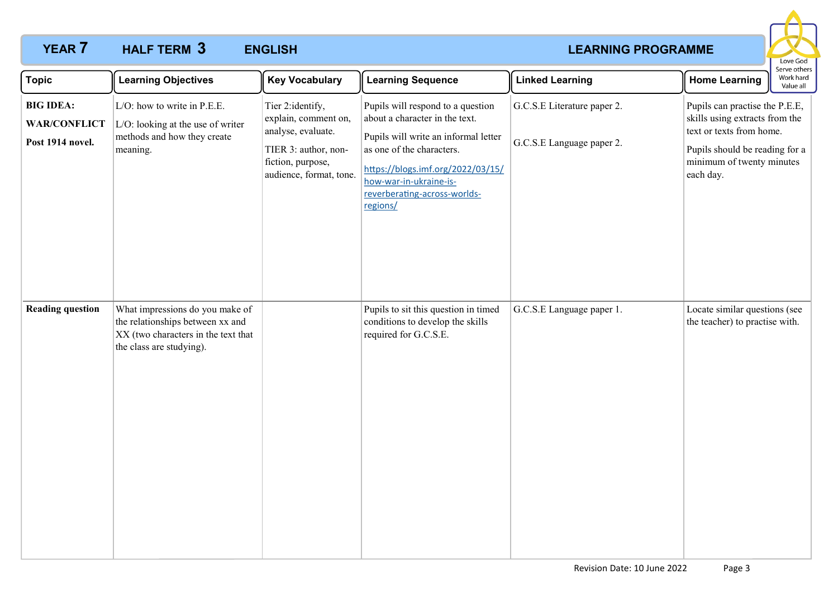# **YEAR 7 HALF TERM 3 ENGLISH CONSUMING PROGRAMME HALF TERM ENGLISH 3**



| <b>Topic</b>                                                | <b>Learning Objectives</b>                                                                                                             | <b>Key Vocabulary</b>                                                                                                                   | <b>Learning Sequence</b>                                                                                                                                                                                                                            | <b>Linked Learning</b>                                   | Serve others<br>Work hard<br><b>Home Learning</b><br>Value all                                                                                                           |
|-------------------------------------------------------------|----------------------------------------------------------------------------------------------------------------------------------------|-----------------------------------------------------------------------------------------------------------------------------------------|-----------------------------------------------------------------------------------------------------------------------------------------------------------------------------------------------------------------------------------------------------|----------------------------------------------------------|--------------------------------------------------------------------------------------------------------------------------------------------------------------------------|
| <b>BIG IDEA:</b><br><b>WAR/CONFLICT</b><br>Post 1914 novel. | L/O: how to write in P.E.E.<br>L/O: looking at the use of writer<br>methods and how they create<br>meaning.                            | Tier 2: identify,<br>explain, comment on,<br>analyse, evaluate.<br>TIER 3: author, non-<br>fiction, purpose,<br>audience, format, tone. | Pupils will respond to a question<br>about a character in the text.<br>Pupils will write an informal letter<br>as one of the characters.<br>https://blogs.imf.org/2022/03/15/<br>how-war-in-ukraine-is-<br>reverberating-across-worlds-<br>regions/ | G.C.S.E Literature paper 2.<br>G.C.S.E Language paper 2. | Pupils can practise the P.E.E,<br>skills using extracts from the<br>text or texts from home.<br>Pupils should be reading for a<br>minimum of twenty minutes<br>each day. |
| <b>Reading question</b>                                     | What impressions do you make of<br>the relationships between xx and<br>XX (two characters in the text that<br>the class are studying). |                                                                                                                                         | Pupils to sit this question in timed<br>conditions to develop the skills<br>required for G.C.S.E.                                                                                                                                                   | G.C.S.E Language paper 1.                                | Locate similar questions (see<br>the teacher) to practise with.                                                                                                          |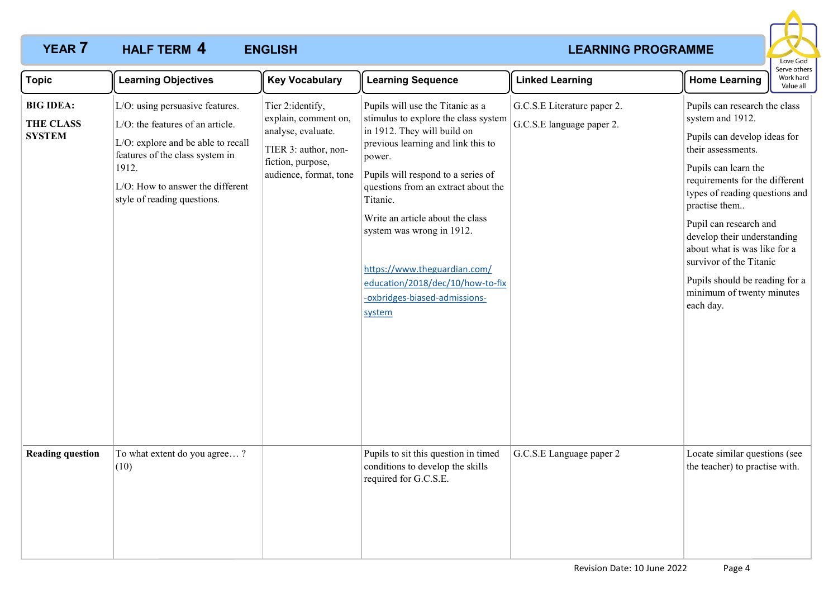# **YEAR 7 HALF TERM 4 ENGLISH CONSUMISE AND ACCOUNT ASSESSMENT REARNING PROGRAMME HALF TERM ENGLISH 4**



| <b>Topic</b>                                          | <b>Learning Objectives</b>                                                                                                                                                                                               | <b>Key Vocabulary</b>                                                                                                                 | <b>Learning Sequence</b>                                                                                                                                                                                                                                                                                                                                                                                                         | <b>Linked Learning</b>                                   | Serve others<br>Work hard<br><b>Home Learning</b><br>Value all                                                                                                                                                                                                                                                                                                                                                       |
|-------------------------------------------------------|--------------------------------------------------------------------------------------------------------------------------------------------------------------------------------------------------------------------------|---------------------------------------------------------------------------------------------------------------------------------------|----------------------------------------------------------------------------------------------------------------------------------------------------------------------------------------------------------------------------------------------------------------------------------------------------------------------------------------------------------------------------------------------------------------------------------|----------------------------------------------------------|----------------------------------------------------------------------------------------------------------------------------------------------------------------------------------------------------------------------------------------------------------------------------------------------------------------------------------------------------------------------------------------------------------------------|
| <b>BIG IDEA:</b><br><b>THE CLASS</b><br><b>SYSTEM</b> | L/O: using persuasive features.<br>L/O: the features of an article.<br>L/O: explore and be able to recall<br>features of the class system in<br>1912.<br>L/O: How to answer the different<br>style of reading questions. | Tier 2:identify,<br>explain, comment on,<br>analyse, evaluate.<br>TIER 3: author, non-<br>fiction, purpose,<br>audience, format, tone | Pupils will use the Titanic as a<br>stimulus to explore the class system<br>in 1912. They will build on<br>previous learning and link this to<br>power.<br>Pupils will respond to a series of<br>questions from an extract about the<br>Titanic.<br>Write an article about the class<br>system was wrong in 1912.<br>https://www.theguardian.com/<br>education/2018/dec/10/how-to-fix<br>-oxbridges-biased-admissions-<br>system | G.C.S.E Literature paper 2.<br>G.C.S.E language paper 2. | Pupils can research the class<br>system and 1912.<br>Pupils can develop ideas for<br>their assessments.<br>Pupils can learn the<br>requirements for the different<br>types of reading questions and<br>practise them<br>Pupil can research and<br>develop their understanding<br>about what is was like for a<br>survivor of the Titanic<br>Pupils should be reading for a<br>minimum of twenty minutes<br>each day. |
| <b>Reading question</b>                               | To what extent do you agree?<br>(10)                                                                                                                                                                                     |                                                                                                                                       | Pupils to sit this question in timed<br>conditions to develop the skills<br>required for G.C.S.E.                                                                                                                                                                                                                                                                                                                                | G.C.S.E Language paper 2                                 | Locate similar questions (see<br>the teacher) to practise with.                                                                                                                                                                                                                                                                                                                                                      |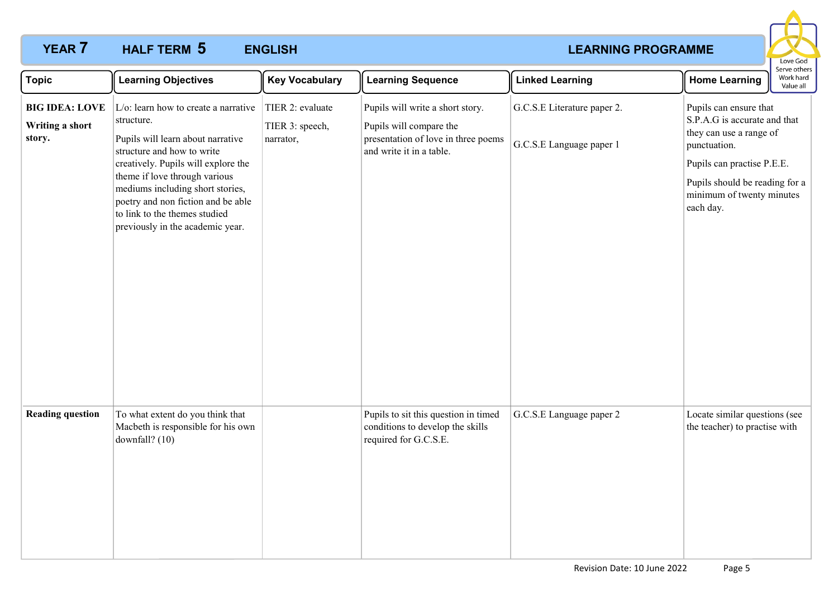# **YEAR 7 HALF TERM 5 ENGLISH CONSUMIST ENGINEERING PROGRAMME HALF TERM ENGLISH 5**



| <b>Topic</b>                                       | <b>Learning Objectives</b>                                                                                                                                                                                                                                                                                                                             | <b>Key Vocabulary</b>                            | <b>Learning Sequence</b>                                                                                                       | <b>Linked Learning</b>                                  | <b>Home Learning</b>                                                                                                                                                                                        | Serve others<br>Work hard<br>Value all |
|----------------------------------------------------|--------------------------------------------------------------------------------------------------------------------------------------------------------------------------------------------------------------------------------------------------------------------------------------------------------------------------------------------------------|--------------------------------------------------|--------------------------------------------------------------------------------------------------------------------------------|---------------------------------------------------------|-------------------------------------------------------------------------------------------------------------------------------------------------------------------------------------------------------------|----------------------------------------|
| <b>BIG IDEA: LOVE</b><br>Writing a short<br>story. | $L/\text{o}$ : learn how to create a narrative<br>structure.<br>Pupils will learn about narrative<br>structure and how to write<br>creatively. Pupils will explore the<br>theme if love through various<br>mediums including short stories,<br>poetry and non fiction and be able<br>to link to the themes studied<br>previously in the academic year. | TIER 2: evaluate<br>TIER 3: speech,<br>narrator, | Pupils will write a short story.<br>Pupils will compare the<br>presentation of love in three poems<br>and write it in a table. | G.C.S.E Literature paper 2.<br>G.C.S.E Language paper 1 | Pupils can ensure that<br>S.P.A.G is accurate and that<br>they can use a range of<br>punctuation.<br>Pupils can practise P.E.E.<br>Pupils should be reading for a<br>minimum of twenty minutes<br>each day. |                                        |
| <b>Reading question</b>                            | To what extent do you think that<br>Macbeth is responsible for his own<br>downfall? (10)                                                                                                                                                                                                                                                               |                                                  | Pupils to sit this question in timed<br>conditions to develop the skills<br>required for G.C.S.E.                              | G.C.S.E Language paper 2                                | Locate similar questions (see<br>the teacher) to practise with                                                                                                                                              |                                        |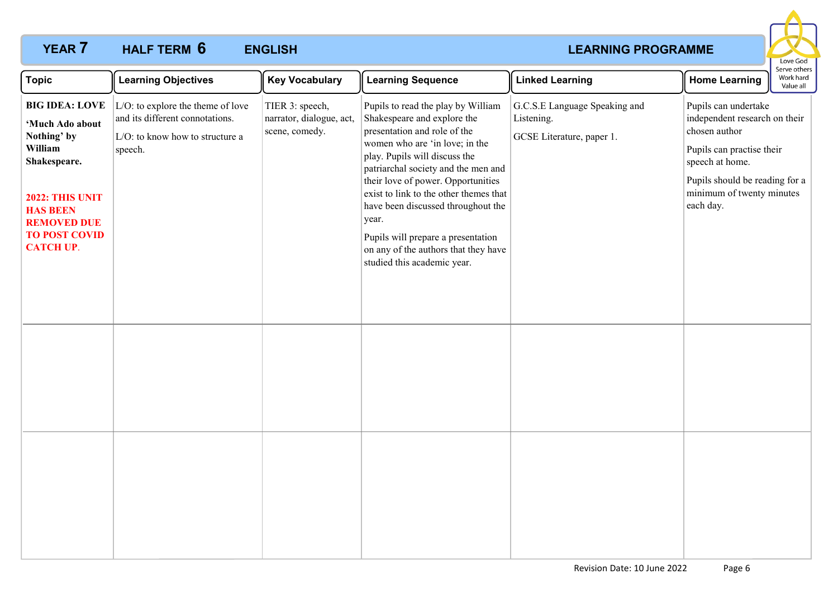# **YEAR 7 HALF TERM 6 ENGLISH CONSUMIST EXAMPLE ARRIVE EXAMPLE EXAMPLE EXAMPLE EXAMPLE EXAMPLE EXAMPLE EXAMPLE EXAMPLE EXAMPLE EXAMPLE EXAMPLE EXAMPLE EXAMPLE EXAMPLE EXAMPLE EXAMPLE EXAMPLE EXAMPLE EXAMPLE EXAMPLE EXA HALF TERM ENGLISH 6**



| <b>Topic</b>                                                                                                                                                                                      | <b>Learning Objectives</b>                                                                                         | <b>Key Vocabulary</b>                                         | <b>Learning Sequence</b>                                                                                                                                                                                                                                                                                                                                                                                                                                | <b>Linked Learning</b>                                                   | <b>Home Learning</b>                                                                                                                                                                               | Serve others<br>Work hard<br>Value all |
|---------------------------------------------------------------------------------------------------------------------------------------------------------------------------------------------------|--------------------------------------------------------------------------------------------------------------------|---------------------------------------------------------------|---------------------------------------------------------------------------------------------------------------------------------------------------------------------------------------------------------------------------------------------------------------------------------------------------------------------------------------------------------------------------------------------------------------------------------------------------------|--------------------------------------------------------------------------|----------------------------------------------------------------------------------------------------------------------------------------------------------------------------------------------------|----------------------------------------|
| <b>BIG IDEA: LOVE</b><br>'Much Ado about<br>Nothing' by<br>William<br>Shakespeare.<br><b>2022: THIS UNIT</b><br><b>HAS BEEN</b><br><b>REMOVED DUE</b><br><b>TO POST COVID</b><br><b>CATCH UP.</b> | L/O: to explore the theme of love<br>and its different connotations.<br>L/O: to know how to structure a<br>speech. | TIER 3: speech,<br>narrator, dialogue, act,<br>scene, comedy. | Pupils to read the play by William<br>Shakespeare and explore the<br>presentation and role of the<br>women who are 'in love; in the<br>play. Pupils will discuss the<br>patriarchal society and the men and<br>their love of power. Opportunities<br>exist to link to the other themes that<br>have been discussed throughout the<br>year.<br>Pupils will prepare a presentation<br>on any of the authors that they have<br>studied this academic year. | G.C.S.E Language Speaking and<br>Listening.<br>GCSE Literature, paper 1. | Pupils can undertake<br>independent research on their<br>chosen author<br>Pupils can practise their<br>speech at home.<br>Pupils should be reading for a<br>minimum of twenty minutes<br>each day. |                                        |
|                                                                                                                                                                                                   |                                                                                                                    |                                                               |                                                                                                                                                                                                                                                                                                                                                                                                                                                         |                                                                          |                                                                                                                                                                                                    |                                        |